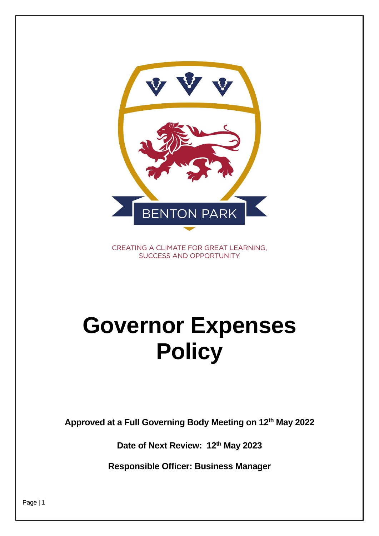

CREATING A CLIMATE FOR GREAT LEARNING, **SUCCESS AND OPPORTUNITY** 

# **Governor Expenses Policy**

**Approved at a Full Governing Body Meeting on 12th May 2022**

**Date of Next Review: 12th May 2023**

**Responsible Officer: Business Manager**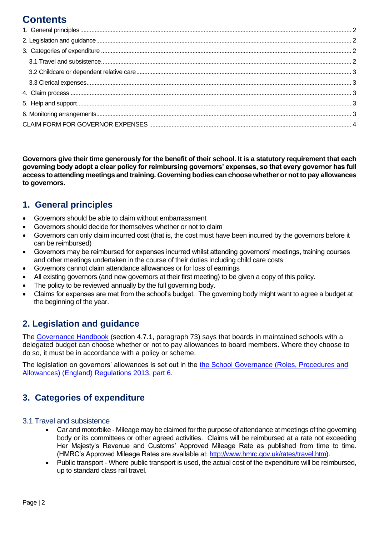## **Contents**

**Governors give their time generously for the benefit of their school. It is a statutory requirement that each governing body adopt a clear policy for reimbursing governors' expenses, so that every governor has full access to attending meetings and training. Governing bodies can choose whether or not to pay allowances to governors.** 

## <span id="page-1-0"></span>**1. General principles**

- Governors should be able to claim without embarrassment
- Governors should decide for themselves whether or not to claim
- Governors can only claim incurred cost (that is, the cost must have been incurred by the governors before it can be reimbursed)
- Governors may be reimbursed for expenses incurred whilst attending governors' meetings, training courses and other meetings undertaken in the course of their duties including child care costs
- Governors cannot claim attendance allowances or for loss of earnings
- All existing governors (and new governors at their first meeting) to be given a copy of this policy.
- The policy to be reviewed annually by the full governing body.
- Claims for expenses are met from the school's budget. The governing body might want to agree a budget at the beginning of the year.

## <span id="page-1-1"></span>**2. Legislation and guidance**

The [Governance Handbook](https://www.gov.uk/government/publications/governance-handbook) (section 4.7.1, paragraph 73) says that boards in maintained schools with a delegated budget can choose whether or not to pay allowances to board members. Where they choose to do so, it must be in accordance with a policy or scheme.

The legislation on governors' allowances is set out in the [the School Governance \(Roles, Procedures and](http://www.legislation.gov.uk/uksi/2013/1624/part/6/made)  [Allowances\) \(England\) Regulations 2013, part 6.](http://www.legislation.gov.uk/uksi/2013/1624/part/6/made)

## <span id="page-1-2"></span>**3. Categories of expenditure**

#### <span id="page-1-3"></span>3.1 Travel and subsistence

- Car and motorbike Mileage may be claimed for the purpose of attendance at meetings of the governing body or its committees or other agreed activities. Claims will be reimbursed at a rate not exceeding Her Majesty's Revenue and Customs' Approved Mileage Rate as published from time to time. (HMRC's Approved Mileage Rates are available at: [http://www.hmrc.gov.uk/rates/travel.htm\)](http://www.hmrc.gov.uk/rates/travel.htm).
- Public transport Where public transport is used, the actual cost of the expenditure will be reimbursed, up to standard class rail travel.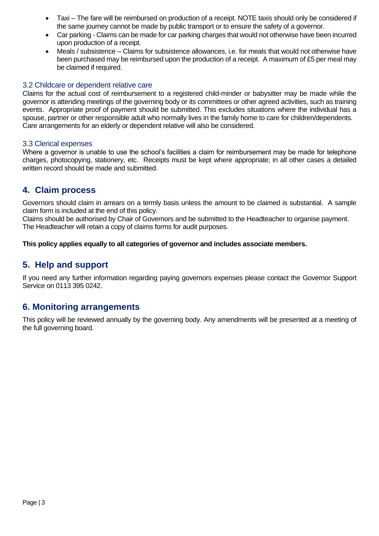- Taxi The fare will be reimbursed on production of a receipt. NOTE taxis should only be considered if the same journey cannot be made by public transport or to ensure the safety of a governor.
- Car parking Claims can be made for car parking charges that would not otherwise have been incurred upon production of a receipt.
- Meals / subsistence Claims for subsistence allowances, i.e. for meals that would not otherwise have been purchased may be reimbursed upon the production of a receipt. A maximum of £5 per meal may be claimed if required.

#### <span id="page-2-0"></span>3.2 Childcare or dependent relative care

Claims for the actual cost of reimbursement to a registered child-minder or babysitter may be made while the governor is attending meetings of the governing body or its committees or other agreed activities, such as training events. Appropriate proof of payment should be submitted. This excludes situations where the individual has a spouse, partner or other responsible adult who normally lives in the family home to care for children/dependents. Care arrangements for an elderly or dependent relative will also be considered.

#### <span id="page-2-1"></span>3.3 Clerical expenses

Where a governor is unable to use the school's facilities a claim for reimbursement may be made for telephone charges, photocopying, stationery, etc. Receipts must be kept where appropriate; in all other cases a detailed written record should be made and submitted.

## <span id="page-2-2"></span>**4. Claim process**

Governors should claim in arrears on a termly basis unless the amount to be claimed is substantial. A sample claim form is included at the end of this policy.

Claims should be authorised by Chair of Governors and be submitted to the Headteacher to organise payment. The Headteacher will retain a copy of claims forms for audit purposes.

#### **This policy applies equally to all categories of governor and includes associate members.**

## <span id="page-2-3"></span>**5. Help and support**

If you need any further information regarding paying governors expenses please contact the Governor Support Service on 0113 395 0242.

## <span id="page-2-4"></span>**6. Monitoring arrangements**

This policy will be reviewed annually by the governing body. Any amendments will be presented at a meeting of the full governing board.